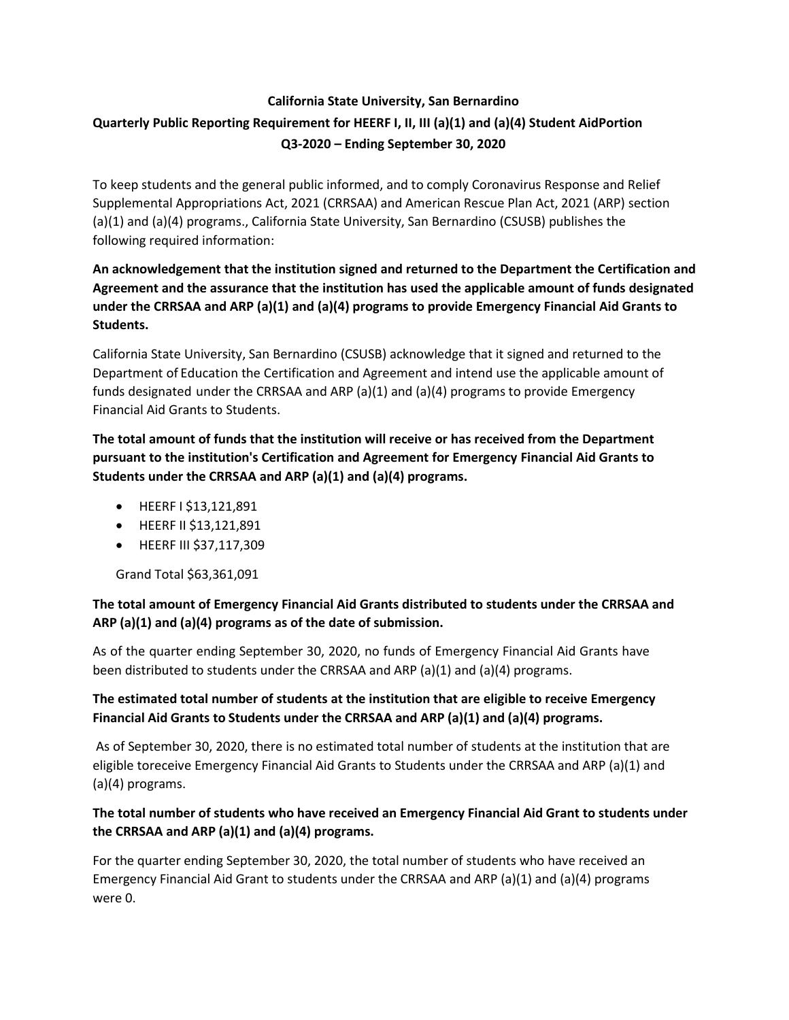# **California State University, San Bernardino Quarterly Public Reporting Requirement for HEERF I, II, III (a)(1) and (a)(4) Student AidPortion Q3-2020 – Ending September 30, 2020**

To keep students and the general public informed, and to comply Coronavirus Response and Relief Supplemental Appropriations Act, 2021 (CRRSAA) and American Rescue Plan Act, 2021 (ARP) section (a)(1) and (a)(4) programs., California State University, San Bernardino (CSUSB) publishes the following required information:

# **An acknowledgement that the institution signed and returned to the Department the Certification and Agreement and the assurance that the institution has used the applicable amount of funds designated under the CRRSAA and ARP (a)(1) and (a)(4) programs to provide Emergency Financial Aid Grants to Students.**

California State University, San Bernardino (CSUSB) acknowledge that it signed and returned to the Department of Education the Certification and Agreement and intend use the applicable amount of funds designated under the CRRSAA and ARP (a)(1) and (a)(4) programs to provide Emergency Financial Aid Grants to Students.

**The total amount of funds that the institution will receive or has received from the Department pursuant to the institution's Certification and Agreement for Emergency Financial Aid Grants to Students under the CRRSAA and ARP (a)(1) and (a)(4) programs.**

- HEERF I \$13,121,891
- HEERF II \$13,121,891
- HEERF III \$37,117,309

Grand Total \$63,361,091

#### **The total amount of Emergency Financial Aid Grants distributed to students under the CRRSAA and ARP (a)(1) and (a)(4) programs as of the date of submission.**

As of the quarter ending September 30, 2020, no funds of Emergency Financial Aid Grants have been distributed to students under the CRRSAA and ARP (a)(1) and (a)(4) programs.

# **The estimated total number of students at the institution that are eligible to receive Emergency Financial Aid Grants to Students under the CRRSAA and ARP (a)(1) and (a)(4) programs.**

As of September 30, 2020, there is no estimated total number of students at the institution that are eligible toreceive Emergency Financial Aid Grants to Students under the CRRSAA and ARP (a)(1) and (a)(4) programs.

# **The total number of students who have received an Emergency Financial Aid Grant to students under the CRRSAA and ARP (a)(1) and (a)(4) programs.**

For the quarter ending September 30, 2020, the total number of students who have received an Emergency Financial Aid Grant to students under the CRRSAA and ARP (a)(1) and (a)(4) programs were 0.